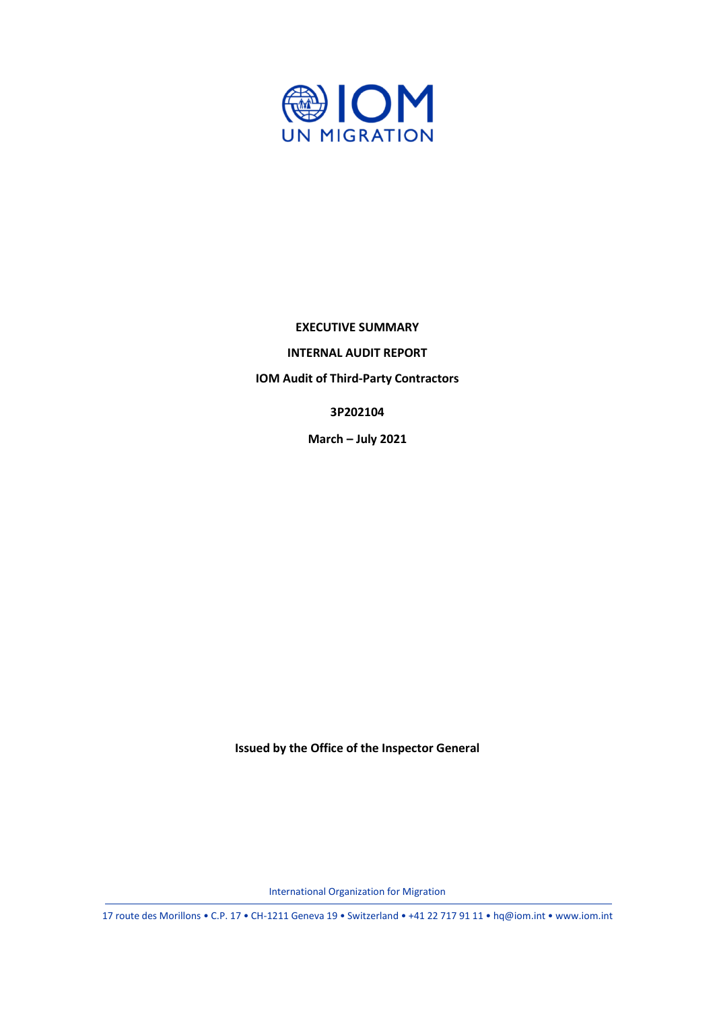

#### **EXECUTIVE SUMMARY**

**INTERNAL AUDIT REPORT**

**IOM Audit of Third-Party Contractors**

**3P202104**

**March – July 2021**

**Issued by the Office of the Inspector General**

International Organization for Migration

17 route des Morillons • C.P. 17 • CH-1211 Geneva 19 • Switzerland • +41 22 717 91 11 • hq@iom.int • www.iom.int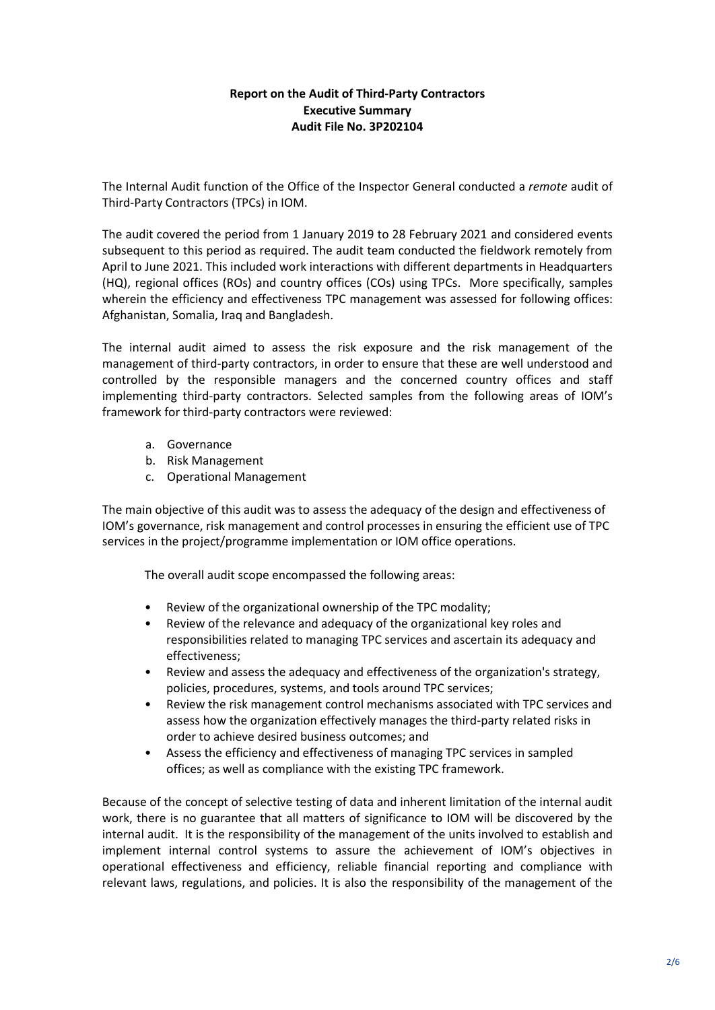# **Report on the Audit of Third-Party Contractors Executive Summary Audit File No. 3P202104**

The Internal Audit function of the Office of the Inspector General conducted a *remote* audit of Third-Party Contractors (TPCs) in IOM.

The audit covered the period from 1 January 2019 to 28 February 2021 and considered events subsequent to this period as required. The audit team conducted the fieldwork remotely from April to June 2021. This included work interactions with different departments in Headquarters (HQ), regional offices (ROs) and country offices (COs) using TPCs. More specifically, samples wherein the efficiency and effectiveness TPC management was assessed for following offices: Afghanistan, Somalia, Iraq and Bangladesh.

The internal audit aimed to assess the risk exposure and the risk management of the management of third-party contractors, in order to ensure that these are well understood and controlled by the responsible managers and the concerned country offices and staff implementing third-party contractors. Selected samples from the following areas of IOM's framework for third-party contractors were reviewed:

- a. Governance
- b. Risk Management
- c. Operational Management

The main objective of this audit was to assess the adequacy of the design and effectiveness of IOM's governance, risk management and control processes in ensuring the efficient use of TPC services in the project/programme implementation or IOM office operations.

The overall audit scope encompassed the following areas:

- Review of the organizational ownership of the TPC modality;
- Review of the relevance and adequacy of the organizational key roles and responsibilities related to managing TPC services and ascertain its adequacy and effectiveness;
- Review and assess the adequacy and effectiveness of the organization's strategy, policies, procedures, systems, and tools around TPC services;
- Review the risk management control mechanisms associated with TPC services and assess how the organization effectively manages the third-party related risks in order to achieve desired business outcomes; and
- Assess the efficiency and effectiveness of managing TPC services in sampled offices; as well as compliance with the existing TPC framework.

Because of the concept of selective testing of data and inherent limitation of the internal audit work, there is no guarantee that all matters of significance to IOM will be discovered by the internal audit. It is the responsibility of the management of the units involved to establish and implement internal control systems to assure the achievement of IOM's objectives in operational effectiveness and efficiency, reliable financial reporting and compliance with relevant laws, regulations, and policies. It is also the responsibility of the management of the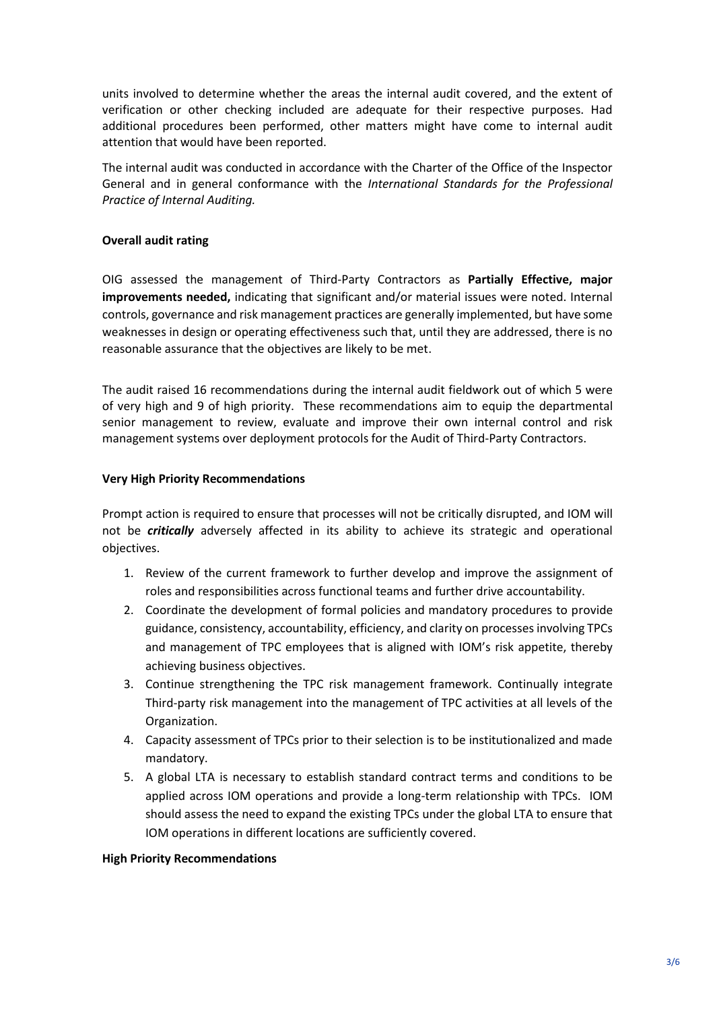units involved to determine whether the areas the internal audit covered, and the extent of verification or other checking included are adequate for their respective purposes. Had additional procedures been performed, other matters might have come to internal audit attention that would have been reported.

The internal audit was conducted in accordance with the Charter of the Office of the Inspector General and in general conformance with the *International Standards for the Professional Practice of Internal Auditing.*

### **Overall audit rating**

OIG assessed the management of Third-Party Contractors as **Partially Effective, major improvements needed,** indicating that significant and/or material issues were noted. Internal controls, governance and risk management practices are generally implemented, but have some weaknesses in design or operating effectiveness such that, until they are addressed, there is no reasonable assurance that the objectives are likely to be met.

The audit raised 16 recommendations during the internal audit fieldwork out of which 5 were of very high and 9 of high priority. These recommendations aim to equip the departmental senior management to review, evaluate and improve their own internal control and risk management systems over deployment protocols for the Audit of Third-Party Contractors.

### **Very High Priority Recommendations**

Prompt action is required to ensure that processes will not be critically disrupted, and IOM will not be *critically* adversely affected in its ability to achieve its strategic and operational objectives.

- 1. Review of the current framework to further develop and improve the assignment of roles and responsibilities across functional teams and further drive accountability.
- 2. Coordinate the development of formal policies and mandatory procedures to provide guidance, consistency, accountability, efficiency, and clarity on processes involving TPCs and management of TPC employees that is aligned with IOM's risk appetite, thereby achieving business objectives.
- 3. Continue strengthening the TPC risk management framework. Continually integrate Third-party risk management into the management of TPC activities at all levels of the Organization.
- 4. Capacity assessment of TPCs prior to their selection is to be institutionalized and made mandatory.
- 5. A global LTA is necessary to establish standard contract terms and conditions to be applied across IOM operations and provide a long-term relationship with TPCs. IOM should assess the need to expand the existing TPCs under the global LTA to ensure that IOM operations in different locations are sufficiently covered.

### **High Priority Recommendations**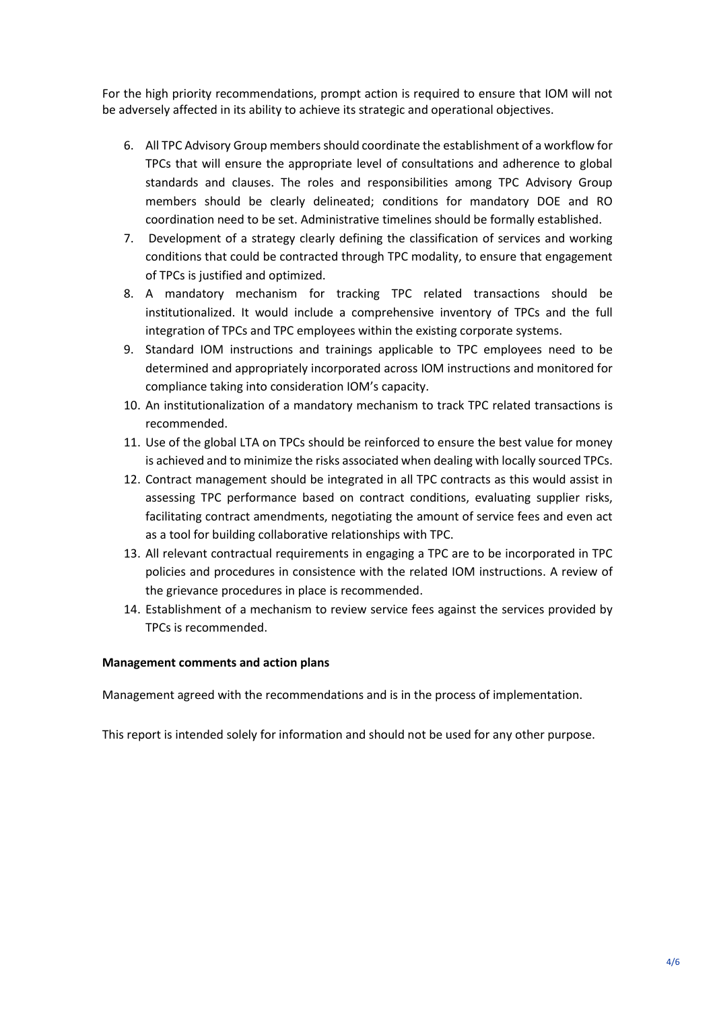For the high priority recommendations, prompt action is required to ensure that IOM will not be adversely affected in its ability to achieve its strategic and operational objectives.

- 6. All TPC Advisory Group members should coordinate the establishment of a workflow for TPCs that will ensure the appropriate level of consultations and adherence to global standards and clauses. The roles and responsibilities among TPC Advisory Group members should be clearly delineated; conditions for mandatory DOE and RO coordination need to be set. Administrative timelines should be formally established.
- 7. Development of a strategy clearly defining the classification of services and working conditions that could be contracted through TPC modality, to ensure that engagement of TPCs is justified and optimized.
- 8. A mandatory mechanism for tracking TPC related transactions should be institutionalized. It would include a comprehensive inventory of TPCs and the full integration of TPCs and TPC employees within the existing corporate systems.
- 9. Standard IOM instructions and trainings applicable to TPC employees need to be determined and appropriately incorporated across IOM instructions and monitored for compliance taking into consideration IOM's capacity.
- 10. An institutionalization of a mandatory mechanism to track TPC related transactions is recommended.
- 11. Use of the global LTA on TPCs should be reinforced to ensure the best value for money is achieved and to minimize the risks associated when dealing with locally sourced TPCs.
- 12. Contract management should be integrated in all TPC contracts as this would assist in assessing TPC performance based on contract conditions, evaluating supplier risks, facilitating contract amendments, negotiating the amount of service fees and even act as a tool for building collaborative relationships with TPC.
- 13. All relevant contractual requirements in engaging a TPC are to be incorporated in TPC policies and procedures in consistence with the related IOM instructions. A review of the grievance procedures in place is recommended.
- 14. Establishment of a mechanism to review service fees against the services provided by TPCs is recommended.

## **Management comments and action plans**

Management agreed with the recommendations and is in the process of implementation.

This report is intended solely for information and should not be used for any other purpose.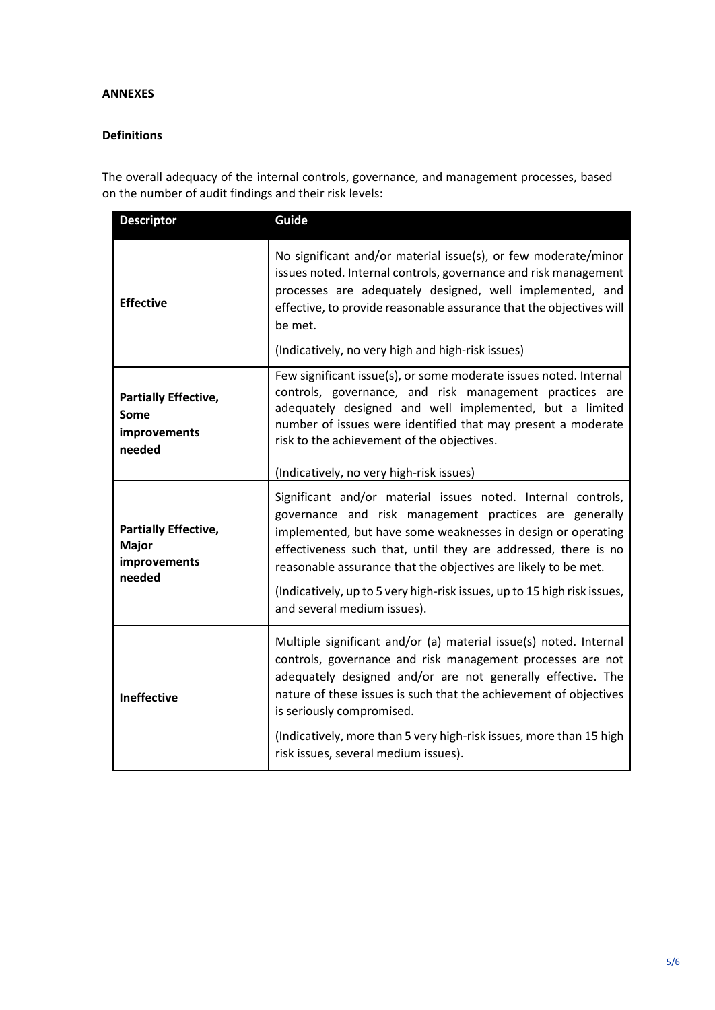### **ANNEXES**

### **Definitions**

The overall adequacy of the internal controls, governance, and management processes, based on the number of audit findings and their risk levels:

| <b>Descriptor</b>                                              | Guide                                                                                                                                                                                                                                                                                                                                                                                                                                 |  |
|----------------------------------------------------------------|---------------------------------------------------------------------------------------------------------------------------------------------------------------------------------------------------------------------------------------------------------------------------------------------------------------------------------------------------------------------------------------------------------------------------------------|--|
| <b>Effective</b>                                               | No significant and/or material issue(s), or few moderate/minor<br>issues noted. Internal controls, governance and risk management<br>processes are adequately designed, well implemented, and<br>effective, to provide reasonable assurance that the objectives will<br>be met.                                                                                                                                                       |  |
|                                                                | (Indicatively, no very high and high-risk issues)                                                                                                                                                                                                                                                                                                                                                                                     |  |
| <b>Partially Effective,</b><br>Some<br>improvements<br>needed  | Few significant issue(s), or some moderate issues noted. Internal<br>controls, governance, and risk management practices are<br>adequately designed and well implemented, but a limited<br>number of issues were identified that may present a moderate<br>risk to the achievement of the objectives.                                                                                                                                 |  |
|                                                                | (Indicatively, no very high-risk issues)                                                                                                                                                                                                                                                                                                                                                                                              |  |
| <b>Partially Effective,</b><br>Major<br>improvements<br>needed | Significant and/or material issues noted. Internal controls,<br>governance and risk management practices are generally<br>implemented, but have some weaknesses in design or operating<br>effectiveness such that, until they are addressed, there is no<br>reasonable assurance that the objectives are likely to be met.<br>(Indicatively, up to 5 very high-risk issues, up to 15 high risk issues,<br>and several medium issues). |  |
| Ineffective                                                    | Multiple significant and/or (a) material issue(s) noted. Internal<br>controls, governance and risk management processes are not<br>adequately designed and/or are not generally effective. The<br>nature of these issues is such that the achievement of objectives<br>is seriously compromised.<br>(Indicatively, more than 5 very high-risk issues, more than 15 high<br>risk issues, several medium issues).                       |  |